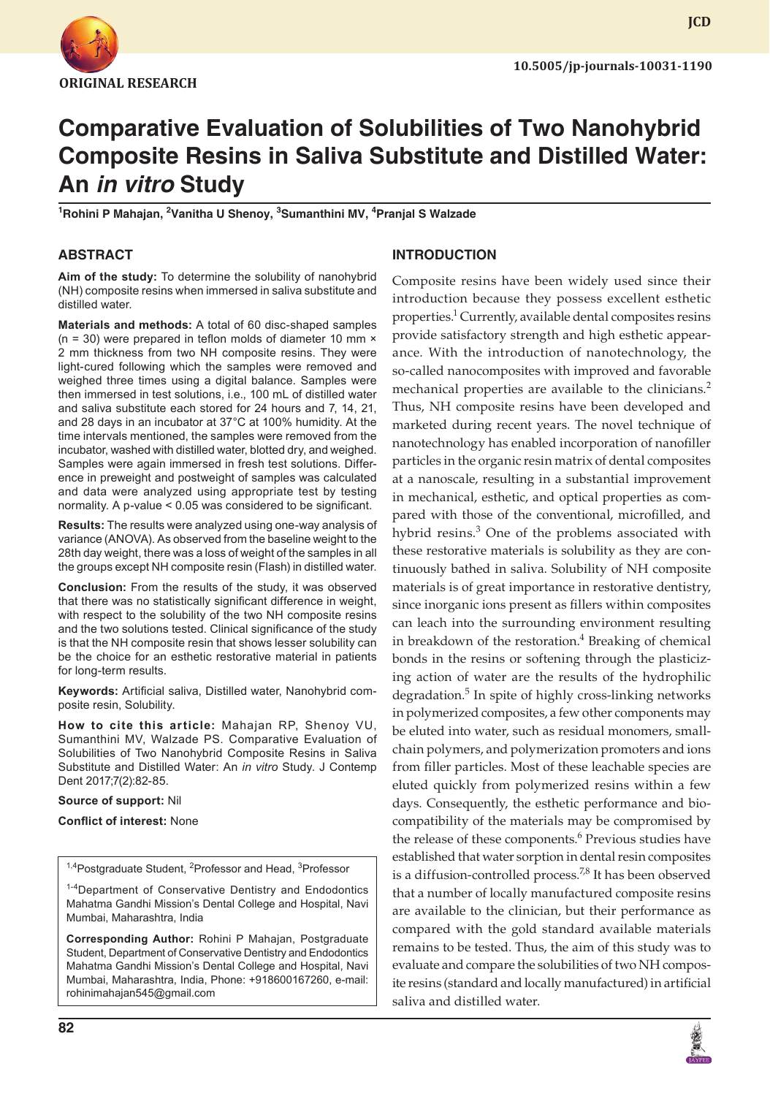

**JCD**

# **Comparative Evaluation of Solubilities of Two Nanohybrid Composite Resins in Saliva Substitute and Distilled Water: An** *in vitro* **Study**

<sup>1</sup>Rohini P Mahajan, <sup>2</sup>Vanitha U Shenoy, <sup>3</sup>Sumanthini MV, <sup>4</sup>Pranjal S Walzade

## **ABSTRACT**

**Aim of the study:** To determine the solubility of nanohybrid (NH) composite resins when immersed in saliva substitute and distilled water.

**Materials and methods:** A total of 60 disc-shaped samples ( $n = 30$ ) were prepared in teflon molds of diameter 10 mm  $\times$ 2 mm thickness from two NH composite resins. They were light-cured following which the samples were removed and weighed three times using a digital balance. Samples were then immersed in test solutions, i.e., 100 mL of distilled water and saliva substitute each stored for 24 hours and 7, 14, 21, and 28 days in an incubator at 37°C at 100% humidity. At the time intervals mentioned, the samples were removed from the incubator, washed with distilled water, blotted dry, and weighed. Samples were again immersed in fresh test solutions. Difference in preweight and postweight of samples was calculated and data were analyzed using appropriate test by testing normality. A p-value < 0.05 was considered to be significant.

**Results:** The results were analyzed using one-way analysis of variance (ANOVA). As observed from the baseline weight to the 28th day weight, there was a loss of weight of the samples in all the groups except NH composite resin (Flash) in distilled water.

**Conclusion:** From the results of the study, it was observed that there was no statistically significant difference in weight, with respect to the solubility of the two NH composite resins and the two solutions tested. Clinical significance of the study is that the NH composite resin that shows lesser solubility can be the choice for an esthetic restorative material in patients for long-term results.

**Keywords:** Artificial saliva, Distilled water, Nanohybrid composite resin, Solubility.

**How to cite this article:** Mahajan RP, Shenoy VU, Sumanthini MV, Walzade PS. Comparative Evaluation of Solubilities of Two Nanohybrid Composite Resins in Saliva Substitute and Distilled Water: An *in vitro* Study. J Contemp Dent 2017;7(2):82-85.

**Source of support:** Nil

**Conflict of interest:** None

<sup>1,4</sup>Postgraduate Student, <sup>2</sup>Professor and Head, <sup>3</sup>Professor

<sup>1-4</sup>Department of Conservative Dentistry and Endodontics Mahatma Gandhi Mission's Dental College and Hospital, Navi Mumbai, Maharashtra, India

**Corresponding Author:** Rohini P Mahajan, Postgraduate Student, Department of Conservative Dentistry and Endodontics Mahatma Gandhi Mission's Dental College and Hospital, Navi Mumbai, Maharashtra, India, Phone: +918600167260, e-mail: rohinimahajan545@gmail.com

## **INTRODUCTION**

Composite resins have been widely used since their introduction because they possess excellent esthetic properties.<sup>1</sup> Currently, available dental composites resins provide satisfactory strength and high esthetic appearance. With the introduction of nanotechnology, the so-called nanocomposites with improved and favorable mechanical properties are available to the clinicians.<sup>2</sup> Thus, NH composite resins have been developed and marketed during recent years. The novel technique of nanotechnology has enabled incorporation of nanofiller particles in the organic resin matrix of dental composites at a nanoscale, resulting in a substantial improvement in mechanical, esthetic, and optical properties as compared with those of the conventional, microfilled, and hybrid resins.<sup>3</sup> One of the problems associated with these restorative materials is solubility as they are continuously bathed in saliva. Solubility of NH composite materials is of great importance in restorative dentistry, since inorganic ions present as fillers within composites can leach into the surrounding environment resulting in breakdown of the restoration.<sup>4</sup> Breaking of chemical bonds in the resins or softening through the plasticizing action of water are the results of the hydrophilic degradation.<sup>5</sup> In spite of highly cross-linking networks in polymerized composites, a few other components may be eluted into water, such as residual monomers, smallchain polymers, and polymerization promoters and ions from filler particles. Most of these leachable species are eluted quickly from polymerized resins within a few days. Consequently, the esthetic performance and biocompatibility of the materials may be compromised by the release of these components.<sup>6</sup> Previous studies have established that water sorption in dental resin composites is a diffusion-controlled process.<sup>7,8</sup> It has been observed that a number of locally manufactured composite resins are available to the clinician, but their performance as compared with the gold standard available materials remains to be tested. Thus, the aim of this study was to evaluate and compare the solubilities of two NH composite resins (standard and locally manufactured) in artificial saliva and distilled water.

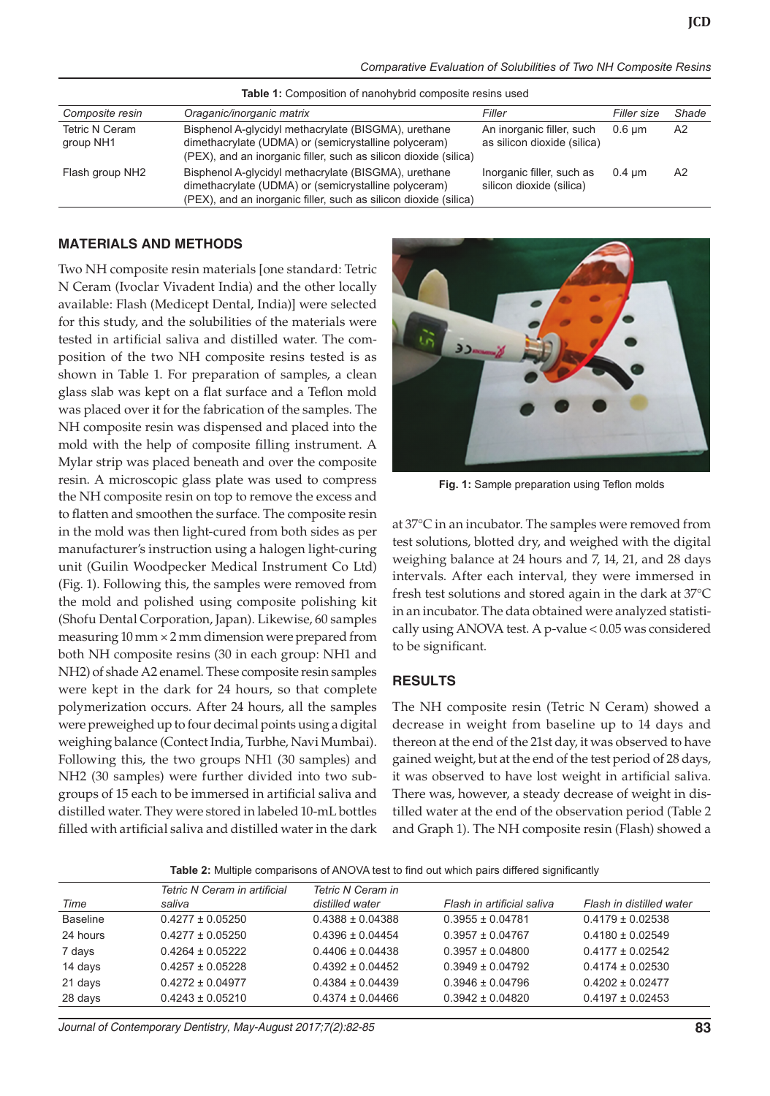*Comparative Evaluation of Solubilities of Two NH Composite Resins*

| <b>Table 1.</b> Composition of Hanonybild composite resins used |                                                                                                                                                                                  |                                                          |                  |                |
|-----------------------------------------------------------------|----------------------------------------------------------------------------------------------------------------------------------------------------------------------------------|----------------------------------------------------------|------------------|----------------|
| Composite resin                                                 | Oraganic/inorganic matrix                                                                                                                                                        | Filler                                                   | Filler size      | Shade          |
| <b>Tetric N Ceram</b><br>group NH1                              | Bisphenol A-glycidyl methacrylate (BISGMA), urethane<br>dimethacrylate (UDMA) or (semicrystalline polyceram)<br>(PEX), and an inorganic filler, such as silicon dioxide (silica) | An inorganic filler, such<br>as silicon dioxide (silica) | 0.6 um           | A2             |
| Flash group NH2                                                 | Bisphenol A-glycidyl methacrylate (BISGMA), urethane<br>dimethacrylate (UDMA) or (semicrystalline polyceram)<br>(PEX), and an inorganic filler, such as silicon dioxide (silica) | Inorganic filler, such as<br>silicon dioxide (silica)    | $0.4 \text{ µm}$ | A <sub>2</sub> |

#### **Table 1:** Composition of nanohybrid composite resins used

#### **MATERIALS AND METHODS**

Two NH composite resin materials [one standard: Tetric N Ceram (Ivoclar Vivadent India) and the other locally available: Flash (Medicept Dental, India)] were selected for this study, and the solubilities of the materials were tested in artificial saliva and distilled water. The composition of the two NH composite resins tested is as shown in Table 1. For preparation of samples, a clean glass slab was kept on a flat surface and a Teflon mold was placed over it for the fabrication of the samples. The NH composite resin was dispensed and placed into the mold with the help of composite filling instrument. A Mylar strip was placed beneath and over the composite resin. A microscopic glass plate was used to compress the NH composite resin on top to remove the excess and to flatten and smoothen the surface. The composite resin in the mold was then light-cured from both sides as per manufacturer's instruction using a halogen light-curing unit (Guilin Woodpecker Medical Instrument Co Ltd) (Fig. 1). Following this, the samples were removed from the mold and polished using composite polishing kit (Shofu Dental Corporation, Japan). Likewise, 60 samples measuring  $10 \text{ mm} \times 2 \text{ mm}$  dimension were prepared from both NH composite resins (30 in each group: NH1 and NH2) of shade A2 enamel. These composite resin samples were kept in the dark for 24 hours, so that complete polymerization occurs. After 24 hours, all the samples were preweighed up to four decimal points using a digital weighing balance (Contect India, Turbhe, Navi Mumbai). Following this, the two groups NH1 (30 samples) and NH2 (30 samples) were further divided into two subgroups of 15 each to be immersed in artificial saliva and distilled water. They were stored in labeled 10-mL bottles filled with artificial saliva and distilled water in the dark



**Fig. 1:** Sample preparation using Teflon molds

at 37°C in an incubator. The samples were removed from test solutions, blotted dry, and weighed with the digital weighing balance at 24 hours and 7, 14, 21, and 28 days intervals. After each interval, they were immersed in fresh test solutions and stored again in the dark at 37°C in an incubator. The data obtained were analyzed statistically using ANOVA test. A p-value < 0.05 was considered to be significant.

#### **RESULTS**

The NH composite resin (Tetric N Ceram) showed a decrease in weight from baseline up to 14 days and thereon at the end of the 21st day, it was observed to have gained weight, but at the end of the test period of 28 days, it was observed to have lost weight in artificial saliva. There was, however, a steady decrease of weight in distilled water at the end of the observation period (Table 2 and Graph 1). The NH composite resin (Flash) showed a

|  | Table 2: Multiple comparisons of ANOVA test to find out which pairs differed significantly |  |  |  |
|--|--------------------------------------------------------------------------------------------|--|--|--|
|--|--------------------------------------------------------------------------------------------|--|--|--|

|                 | Tetric N Ceram in artificial | Tetric N Ceram in    |                            |                          |
|-----------------|------------------------------|----------------------|----------------------------|--------------------------|
| Time            | saliva                       | distilled water      | Flash in artificial saliva | Flash in distilled water |
| <b>Baseline</b> | $0.4277 \pm 0.05250$         | $0.4388 \pm 0.04388$ | $0.3955 \pm 0.04781$       | $0.4179 \pm 0.02538$     |
| 24 hours        | $0.4277 + 0.05250$           | $0.4396 \pm 0.04454$ | $0.3957 \pm 0.04767$       | $0.4180 \pm 0.02549$     |
| 7 days          | $0.4264 \pm 0.05222$         | $0.4406 \pm 0.04438$ | $0.3957 \pm 0.04800$       | $0.4177 + 0.02542$       |
| 14 days         | $0.4257 \pm 0.05228$         | $0.4392 \pm 0.04452$ | $0.3949 \pm 0.04792$       | $0.4174 \pm 0.02530$     |
| 21 days         | $0.4272 \pm 0.04977$         | $0.4384 \pm 0.04439$ | $0.3946 \pm 0.04796$       | $0.4202 \pm 0.02477$     |
| 28 days         | $0.4243 \pm 0.05210$         | $0.4374 \pm 0.04466$ | $0.3942 \pm 0.04820$       | $0.4197 \pm 0.02453$     |
|                 |                              |                      |                            |                          |

*Journal of Contemporary Dentistry, May-August 2017;7(2):82-85* **83**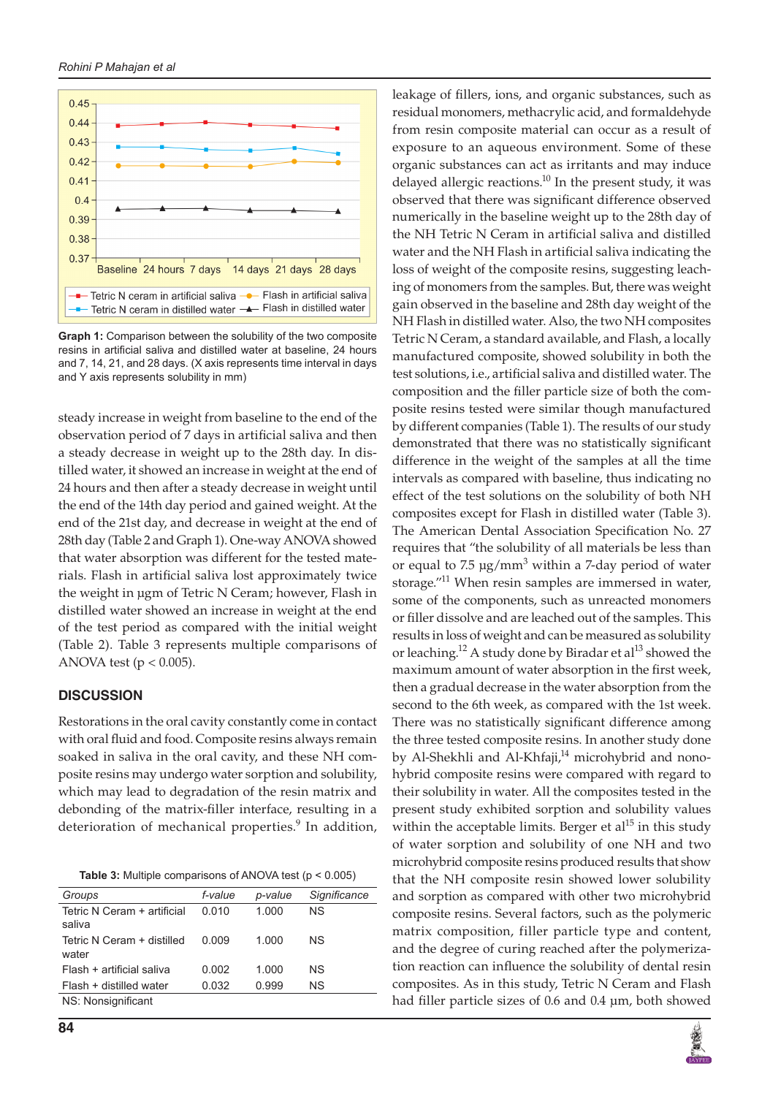



**Graph 1:** Comparison between the solubility of the two composite resins in artificial saliva and distilled water at baseline, 24 hours and 7, 14, 21, and 28 days. (X axis represents time interval in days and Y axis represents solubility in mm)

steady increase in weight from baseline to the end of the observation period of 7 days in artificial saliva and then a steady decrease in weight up to the 28th day. In distilled water, it showed an increase in weight at the end of 24 hours and then after a steady decrease in weight until the end of the 14th day period and gained weight. At the end of the 21st day, and decrease in weight at the end of 28th day (Table 2 and Graph 1). One-way ANOVA showed that water absorption was different for the tested materials. Flash in artificial saliva lost approximately twice the weight in µgm of Tetric N Ceram; however, Flash in distilled water showed an increase in weight at the end of the test period as compared with the initial weight (Table 2). Table 3 represents multiple comparisons of ANOVA test ( $p < 0.005$ ).

## **DISCUSSION**

Restorations in the oral cavity constantly come in contact with oral fluid and food. Composite resins always remain soaked in saliva in the oral cavity, and these NH composite resins may undergo water sorption and solubility, which may lead to degradation of the resin matrix and debonding of the matrix-filler interface, resulting in a deterioration of mechanical properties.<sup>9</sup> In addition,

| Table 3: Multiple comparisons of ANOVA test ( $p < 0.005$ ) |  |
|-------------------------------------------------------------|--|
|-------------------------------------------------------------|--|

| Groups                                | f-value | p-value | Significance |
|---------------------------------------|---------|---------|--------------|
| Tetric N Ceram + artificial<br>saliva | 0.010   | 1.000   | NS.          |
| Tetric N Ceram + distilled<br>water   | 0.009   | 1.000   | ΝS           |
| Flash + artificial saliva             | 0.002   | 1.000   | ΝS           |
| Flash + distilled water               | 0.032   | 0.999   | ΝS           |
| NS: Nonsignificant                    |         |         |              |

leakage of fillers, ions, and organic substances, such as residual monomers, methacrylic acid, and formaldehyde from resin composite material can occur as a result of exposure to an aqueous environment. Some of these organic substances can act as irritants and may induce delayed allergic reactions.<sup>10</sup> In the present study, it was observed that there was significant difference observed numerically in the baseline weight up to the 28th day of the NH Tetric N Ceram in artificial saliva and distilled water and the NH Flash in artificial saliva indicating the loss of weight of the composite resins, suggesting leaching of monomers from the samples. But, there was weight gain observed in the baseline and 28th day weight of the NH Flash in distilled water. Also, the two NH composites Tetric N Ceram, a standard available, and Flash, a locally manufactured composite, showed solubility in both the test solutions, i.e., artificial saliva and distilled water. The composition and the filler particle size of both the composite resins tested were similar though manufactured by different companies (Table 1). The results of our study demonstrated that there was no statistically significant difference in the weight of the samples at all the time intervals as compared with baseline, thus indicating no effect of the test solutions on the solubility of both NH composites except for Flash in distilled water (Table 3). The American Dental Association Specification No. 27 requires that "the solubility of all materials be less than or equal to  $7.5 \text{ µg/mm}^3$  within a 7-day period of water storage."<sup>11</sup> When resin samples are immersed in water, some of the components, such as unreacted monomers or filler dissolve and are leached out of the samples. This results in loss of weight and can be measured as solubility or leaching.<sup>12</sup> A study done by Biradar et al<sup>13</sup> showed the maximum amount of water absorption in the first week, then a gradual decrease in the water absorption from the second to the 6th week, as compared with the 1st week. There was no statistically significant difference among the three tested composite resins. In another study done by Al-Shekhli and Al-Khfaji,<sup>14</sup> microhybrid and nonohybrid composite resins were compared with regard to their solubility in water. All the composites tested in the present study exhibited sorption and solubility values within the acceptable limits. Berger et  $al<sup>15</sup>$  in this study of water sorption and solubility of one NH and two microhybrid composite resins produced results that show that the NH composite resin showed lower solubility and sorption as compared with other two microhybrid composite resins. Several factors, such as the polymeric matrix composition, filler particle type and content, and the degree of curing reached after the polymerization reaction can influence the solubility of dental resin composites. As in this study, Tetric N Ceram and Flash had filler particle sizes of 0.6 and 0.4 µm, both showed